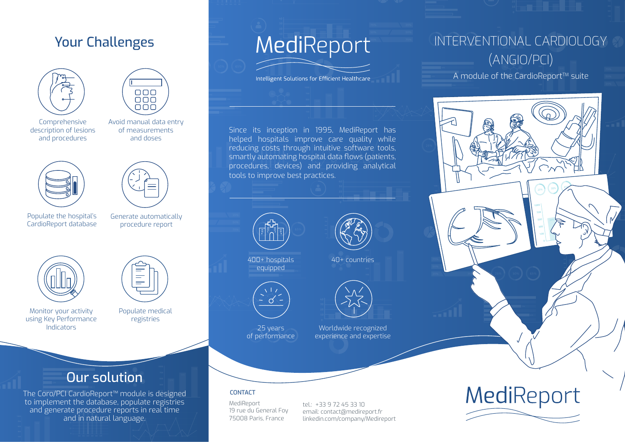## Your Challenges





Comprehensive description of lesions and procedures

Avoid manual data entry of measurements and doses





Populate the hospital's CardioReport database

Generate automatically procedure report



 $=$ 

Monitor your activity using Key Performance Indicators

Populate medical registries

# Our solution

The Coro/PCI CardioReport™ module is designed to implement the database, populate registries and generate procedure reports in real time and in natural language.

# MediReport

Intelligent Solutions for Efficient Healthcare

Since its inception in 1995, MediReport has helped hospitals improve care quality while reducing costs through intuitive software tools, smartly automating hospital data flows (patients, procedures, devices) and providing analytical tools to improve best practices.



400+ hospitals equipped



25 years of performance





Worldwide recognized experience and expertise

#### CONTACT

MediReport 19 rue du General Foy 75008 Paris, France

tel.: +33 9 72 45 33 10 email: contact@medireport.fr [linkedin.com/company/Medireport](https://www.linkedin.com/company/medireport/) 

# INTERVENTIONAL CARDIOLOGY (ANGIO/PCI)

A module of the CardioReport™ suite